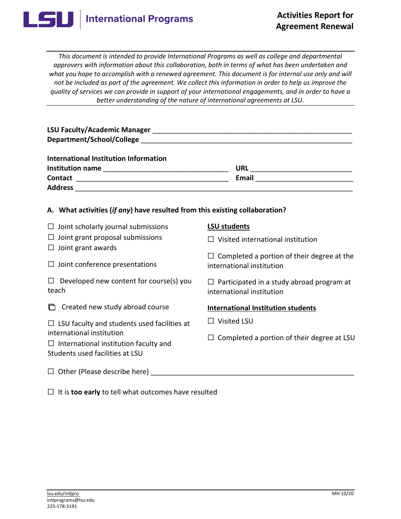

*This document is intended to provide International Programs as well as college and departmental approvers with information about this collaboration, both in terms of what has been undertaken and what you hope to accomplish with a renewed agreement. This document is for internal use only and will not be included as part of the agreement. We collect this information in order to help us improve the quality of services we can provide in support of your international engagements, and in order to have a better understanding of the nature of international agreements at LSU.* 

| A. What activities (if any) have resulted from this existing collaboration?                                                                                        |                                                                                |
|--------------------------------------------------------------------------------------------------------------------------------------------------------------------|--------------------------------------------------------------------------------|
| $\Box$ Joint scholarly journal submissions                                                                                                                         | <b>LSU students</b>                                                            |
| $\Box$ Joint grant proposal submissions                                                                                                                            | $\Box$ Visited international institution                                       |
| $\Box$ Joint grant awards<br>$\Box$ Joint conference presentations                                                                                                 | $\Box$ Completed a portion of their degree at the<br>international institution |
| $\Box$ Developed new content for course(s) you<br>teach                                                                                                            | $\Box$ Participated in a study abroad program at<br>international institution  |
| $\Box$ Created new study abroad course                                                                                                                             | <b>International Institution students</b>                                      |
| $\Box$ LSU faculty and students used facilities at<br>international institution<br>$\Box$ International institution faculty and<br>Students used facilities at LSU | $\Box$ Visited LSU                                                             |
|                                                                                                                                                                    | $\Box$ Completed a portion of their degree at LSU                              |
| $\Box$ Other (Please describe here)                                                                                                                                |                                                                                |

☐ It is **too early** to tell what outcomes have resulted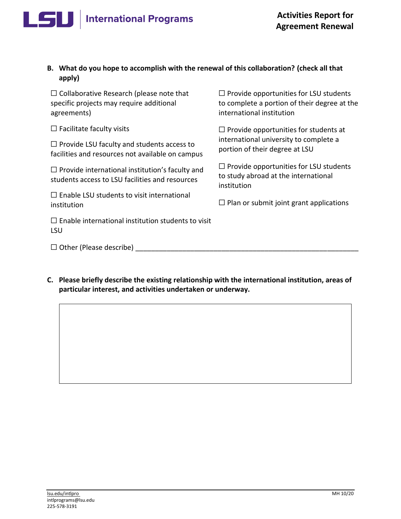## **International Programs**

## **B. What do you hope to accomplish with the renewal of this collaboration? (check all that apply)**

☐ Collaborative Research (please note that ☐ Provide opportunities for LSU students agreements) and international institution

□ Provide LSU faculty and students access to portional university to complete a<br>facilities and resources not available on campus portion of their degree at LSU

students access to LSU facilities and resources

 $\Box$  Enable LSU students to visit international institution institution in a submit joint grant applications institution

 $\Box$  Enable international institution students to visit LSU

 $\Box$  Other (Please describe)

specific projects may require additional to complete a portion of their degree at the

☐ Facilitate faculty visits ☐ Provide opportunities for students at

□ Provide international institution's faculty and □ Provide opportunities for LSU students<br>to study abroad at the international institution

**C. Please briefly describe the existing relationship with the international institution, areas of particular interest, and activities undertaken or underway.**